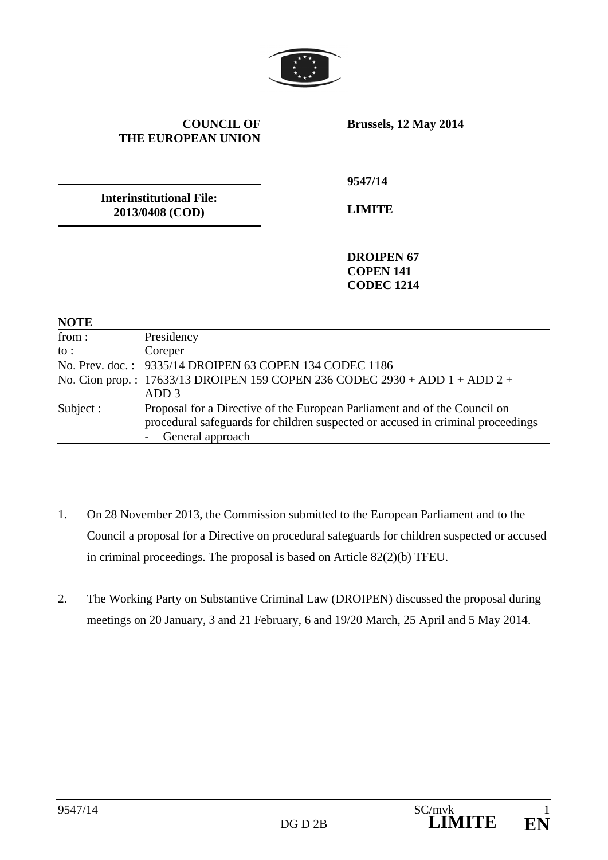

### **COUNCIL OF THE EUROPEAN UNION**

**Brussels, 12 May 2014** 

**Interinstitutional File: 2013/0408 (COD)** 

**9547/14** 

**LIMITE** 

**DROIPEN 67 COPEN 141 CODEC 1214** 

| <b>NOTE</b>     |                                                                                                                                                              |
|-----------------|--------------------------------------------------------------------------------------------------------------------------------------------------------------|
| from:           | Presidency                                                                                                                                                   |
| $\mathsf{to}$ : | Coreper                                                                                                                                                      |
|                 | No. Prev. doc.: 9335/14 DROIPEN 63 COPEN 134 CODEC 1186                                                                                                      |
|                 | No. Cion prop.: $17633/13$ DROIPEN 159 COPEN 236 CODEC 2930 + ADD 1 + ADD 2 +                                                                                |
|                 | ADD 3                                                                                                                                                        |
| Subject:        | Proposal for a Directive of the European Parliament and of the Council on<br>procedural safeguards for children suspected or accused in criminal proceedings |
|                 | General approach                                                                                                                                             |

- 1. On 28 November 2013, the Commission submitted to the European Parliament and to the Council a proposal for a Directive on procedural safeguards for children suspected or accused in criminal proceedings. The proposal is based on Article 82(2)(b) TFEU.
- 2. The Working Party on Substantive Criminal Law (DROIPEN) discussed the proposal during meetings on 20 January, 3 and 21 February, 6 and 19/20 March, 25 April and 5 May 2014.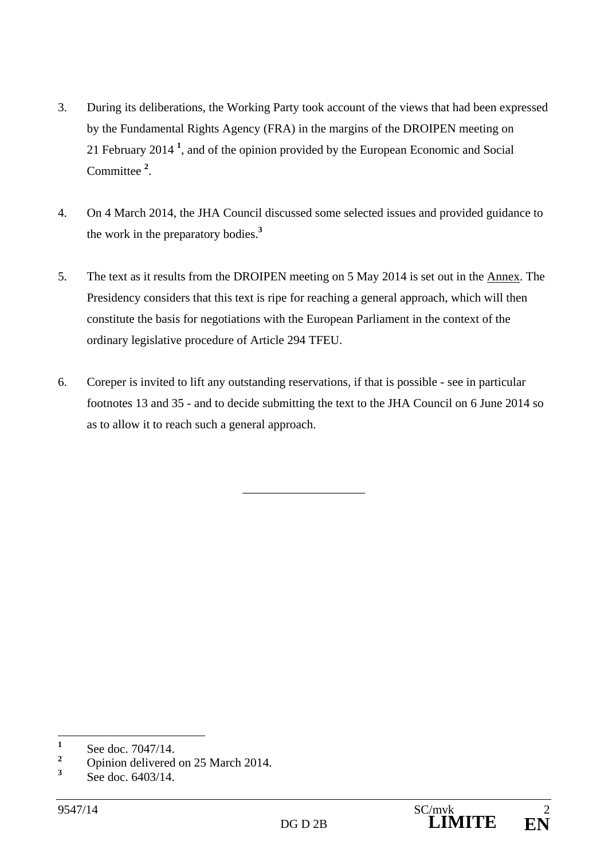- 3. During its deliberations, the Working Party took account of the views that had been expressed by the Fundamental Rights Agency (FRA) in the margins of the DROIPEN meeting on 21 February 2014 **<sup>1</sup>** , and of the opinion provided by the European Economic and Social Committee **<sup>2</sup>** .
- 4. On 4 March 2014, the JHA Council discussed some selected issues and provided guidance to the work in the preparatory bodies.**<sup>3</sup>**
- 5. The text as it results from the DROIPEN meeting on 5 May 2014 is set out in the Annex. The Presidency considers that this text is ripe for reaching a general approach, which will then constitute the basis for negotiations with the European Parliament in the context of the ordinary legislative procedure of Article 294 TFEU.
- 6. Coreper is invited to lift any outstanding reservations, if that is possible see in particular footnotes 13 and 35 - and to decide submitting the text to the JHA Council on 6 June 2014 so as to allow it to reach such a general approach.

\_\_\_\_\_\_\_\_\_\_\_\_\_\_\_\_\_\_\_\_

 **1** See doc. 7047/14.

**<sup>2</sup>** Opinion delivered on 25 March 2014.

**<sup>3</sup>** See doc. 6403/14.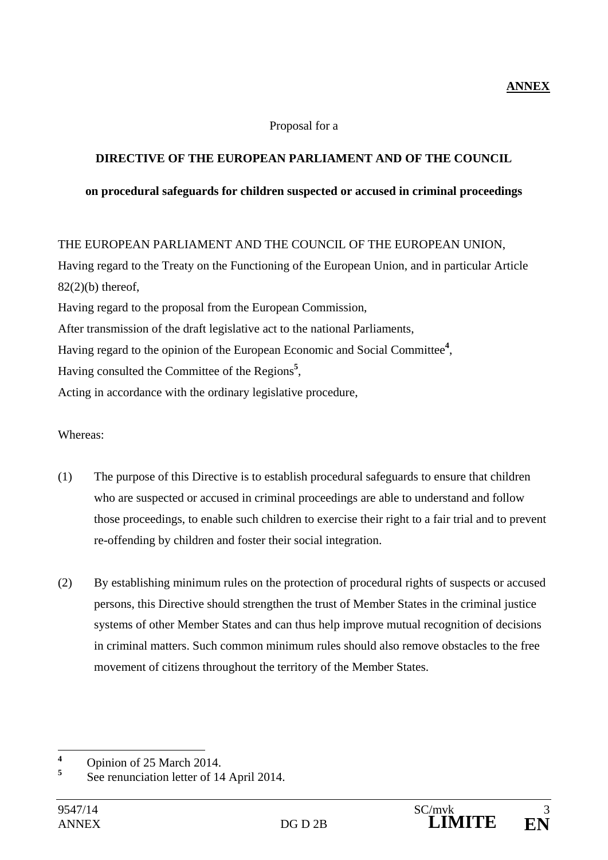### Proposal for a

## **DIRECTIVE OF THE EUROPEAN PARLIAMENT AND OF THE COUNCIL**

### **on procedural safeguards for children suspected or accused in criminal proceedings**

## THE EUROPEAN PARLIAMENT AND THE COUNCIL OF THE EUROPEAN UNION,

Having regard to the Treaty on the Functioning of the European Union, and in particular Article  $82(2)(b)$  thereof. Having regard to the proposal from the European Commission, After transmission of the draft legislative act to the national Parliaments, Having regard to the opinion of the European Economic and Social Committee**<sup>4</sup>** ,

Having consulted the Committee of the Regions**<sup>5</sup>** ,

Acting in accordance with the ordinary legislative procedure,

### Whereas:

- (1) The purpose of this Directive is to establish procedural safeguards to ensure that children who are suspected or accused in criminal proceedings are able to understand and follow those proceedings, to enable such children to exercise their right to a fair trial and to prevent re-offending by children and foster their social integration.
- (2) By establishing minimum rules on the protection of procedural rights of suspects or accused persons, this Directive should strengthen the trust of Member States in the criminal justice systems of other Member States and can thus help improve mutual recognition of decisions in criminal matters. Such common minimum rules should also remove obstacles to the free movement of citizens throughout the territory of the Member States.

 **4** Opinion of 25 March 2014.

**<sup>5</sup>** See renunciation letter of 14 April 2014.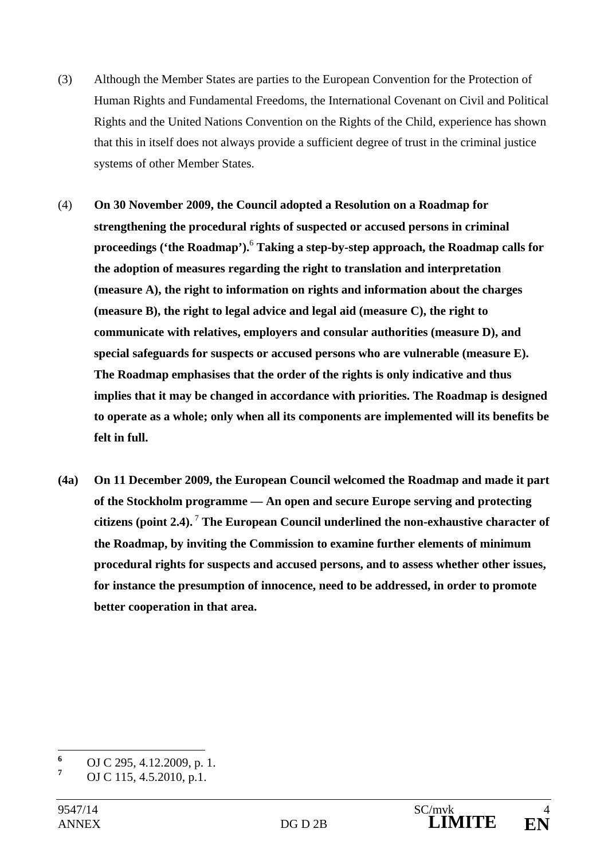- (3) Although the Member States are parties to the European Convention for the Protection of Human Rights and Fundamental Freedoms, the International Covenant on Civil and Political Rights and the United Nations Convention on the Rights of the Child, experience has shown that this in itself does not always provide a sufficient degree of trust in the criminal justice systems of other Member States.
- (4) **On 30 November 2009, the Council adopted a Resolution on a Roadmap for strengthening the procedural rights of suspected or accused persons in criminal proceedings ('the Roadmap').**<sup>6</sup>  **Taking a step-by-step approach, the Roadmap calls for the adoption of measures regarding the right to translation and interpretation (measure A), the right to information on rights and information about the charges (measure B), the right to legal advice and legal aid (measure C), the right to communicate with relatives, employers and consular authorities (measure D), and special safeguards for suspects or accused persons who are vulnerable (measure E). The Roadmap emphasises that the order of the rights is only indicative and thus implies that it may be changed in accordance with priorities. The Roadmap is designed to operate as a whole; only when all its components are implemented will its benefits be felt in full.**
- **(4a) On 11 December 2009, the European Council welcomed the Roadmap and made it part of the Stockholm programme — An open and secure Europe serving and protecting citizens (point 2.4).**<sup>7</sup> **The European Council underlined the non-exhaustive character of the Roadmap, by inviting the Commission to examine further elements of minimum procedural rights for suspects and accused persons, and to assess whether other issues, for instance the presumption of innocence, need to be addressed, in order to promote better cooperation in that area.**

 $\overline{a}$ 

**<sup>6</sup>** OJ C 295, 4.12.2009, p. 1.

**<sup>7</sup>** OJ C 115, 4.5.2010, p.1.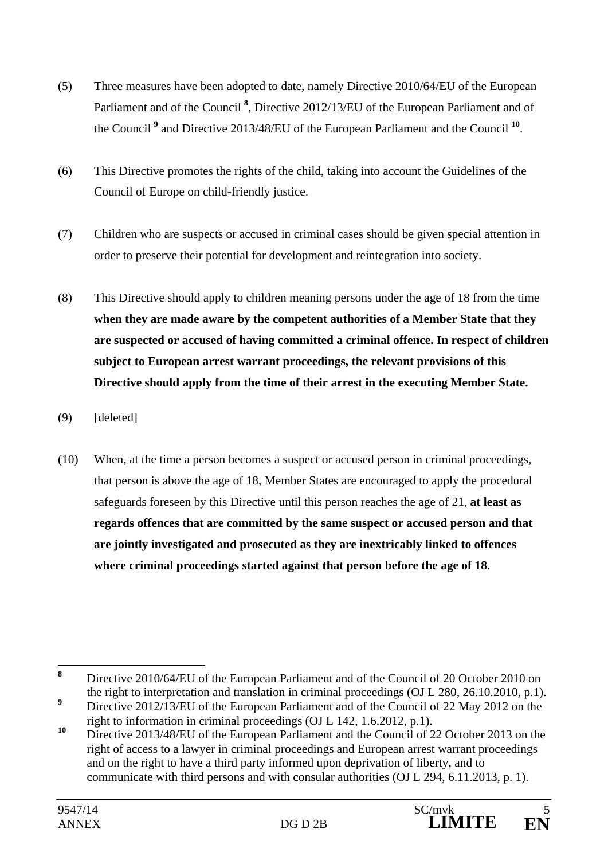- (5) Three measures have been adopted to date, namely Directive 2010/64/EU of the European Parliament and of the Council<sup>8</sup>, Directive 2012/13/EU of the European Parliament and of the Council **<sup>9</sup>** and Directive 2013/48/EU of the European Parliament and the Council **<sup>10</sup>**.
- (6) This Directive promotes the rights of the child, taking into account the Guidelines of the Council of Europe on child-friendly justice.
- (7) Children who are suspects or accused in criminal cases should be given special attention in order to preserve their potential for development and reintegration into society.
- (8) This Directive should apply to children meaning persons under the age of 18 from the time **when they are made aware by the competent authorities of a Member State that they are suspected or accused of having committed a criminal offence. In respect of children subject to European arrest warrant proceedings, the relevant provisions of this Directive should apply from the time of their arrest in the executing Member State.**
- (9) [deleted]
- (10) When, at the time a person becomes a suspect or accused person in criminal proceedings, that person is above the age of 18, Member States are encouraged to apply the procedural safeguards foreseen by this Directive until this person reaches the age of 21, **at least as regards offences that are committed by the same suspect or accused person and that are jointly investigated and prosecuted as they are inextricably linked to offences where criminal proceedings started against that person before the age of 18**.

 **8** Directive 2010/64/EU of the European Parliament and of the Council of 20 October 2010 on the right to interpretation and translation in criminal proceedings (OJ L 280, 26.10.2010, p.1). **9**

Directive 2012/13/EU of the European Parliament and of the Council of 22 May 2012 on the right to information in criminal proceedings (OJ L 142, 1.6.2012, p.1).

<sup>&</sup>lt;sup>10</sup> Directive 2013/48/EU of the European Parliament and the Council of 22 October 2013 on the right of access to a lawyer in criminal proceedings and European arrest warrant proceedings and on the right to have a third party informed upon deprivation of liberty, and to communicate with third persons and with consular authorities (OJ L 294, 6.11.2013, p. 1).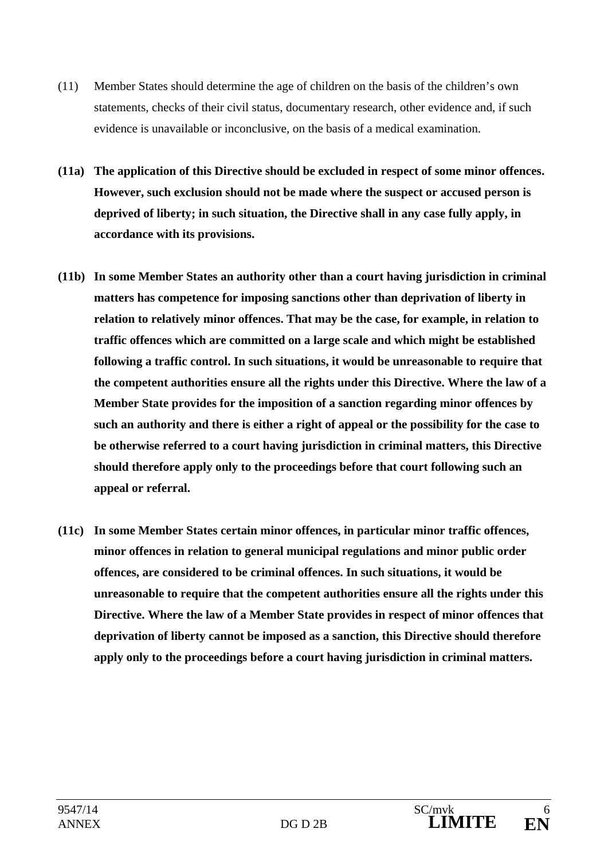- (11) Member States should determine the age of children on the basis of the children's own statements, checks of their civil status, documentary research, other evidence and, if such evidence is unavailable or inconclusive, on the basis of a medical examination.
- **(11a) The application of this Directive should be excluded in respect of some minor offences. However, such exclusion should not be made where the suspect or accused person is deprived of liberty; in such situation, the Directive shall in any case fully apply, in accordance with its provisions.**
- **(11b) In some Member States an authority other than a court having jurisdiction in criminal matters has competence for imposing sanctions other than deprivation of liberty in relation to relatively minor offences. That may be the case, for example, in relation to traffic offences which are committed on a large scale and which might be established following a traffic control. In such situations, it would be unreasonable to require that the competent authorities ensure all the rights under this Directive. Where the law of a Member State provides for the imposition of a sanction regarding minor offences by such an authority and there is either a right of appeal or the possibility for the case to be otherwise referred to a court having jurisdiction in criminal matters, this Directive should therefore apply only to the proceedings before that court following such an appeal or referral.**
- **(11c) In some Member States certain minor offences, in particular minor traffic offences, minor offences in relation to general municipal regulations and minor public order offences, are considered to be criminal offences. In such situations, it would be unreasonable to require that the competent authorities ensure all the rights under this Directive. Where the law of a Member State provides in respect of minor offences that deprivation of liberty cannot be imposed as a sanction, this Directive should therefore apply only to the proceedings before a court having jurisdiction in criminal matters.**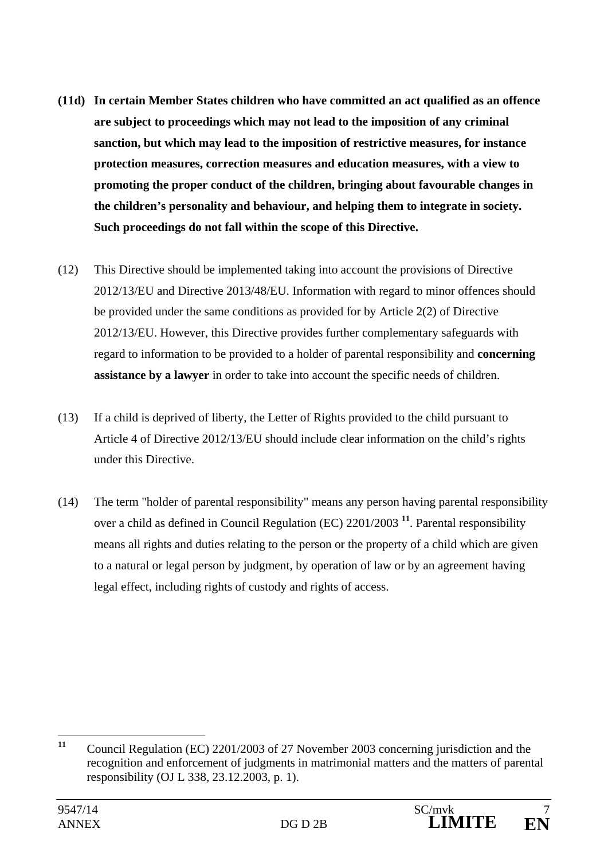- **(11d) In certain Member States children who have committed an act qualified as an offence are subject to proceedings which may not lead to the imposition of any criminal sanction, but which may lead to the imposition of restrictive measures, for instance protection measures, correction measures and education measures, with a view to promoting the proper conduct of the children, bringing about favourable changes in the children's personality and behaviour, and helping them to integrate in society. Such proceedings do not fall within the scope of this Directive.**
- (12) This Directive should be implemented taking into account the provisions of Directive 2012/13/EU and Directive 2013/48/EU. Information with regard to minor offences should be provided under the same conditions as provided for by Article 2(2) of Directive 2012/13/EU. However, this Directive provides further complementary safeguards with regard to information to be provided to a holder of parental responsibility and **concerning assistance by a lawyer** in order to take into account the specific needs of children.
- (13) If a child is deprived of liberty, the Letter of Rights provided to the child pursuant to Article 4 of Directive 2012/13/EU should include clear information on the child's rights under this Directive.
- (14) The term "holder of parental responsibility" means any person having parental responsibility over a child as defined in Council Regulation (EC) 2201/2003 **<sup>11</sup>**. Parental responsibility means all rights and duties relating to the person or the property of a child which are given to a natural or legal person by judgment, by operation of law or by an agreement having legal effect, including rights of custody and rights of access.

 $11$ **<sup>11</sup>** Council Regulation (EC) 2201/2003 of 27 November 2003 concerning jurisdiction and the recognition and enforcement of judgments in matrimonial matters and the matters of parental responsibility (OJ L 338, 23.12.2003, p. 1).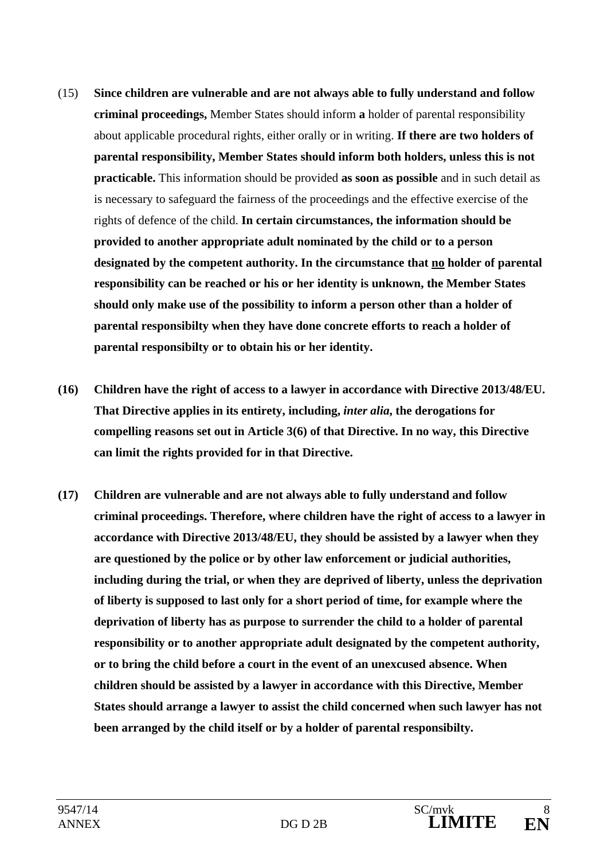- (15) **Since children are vulnerable and are not always able to fully understand and follow criminal proceedings,** Member States should inform **a** holder of parental responsibility about applicable procedural rights, either orally or in writing. **If there are two holders of parental responsibility, Member States should inform both holders, unless this is not practicable.** This information should be provided **as soon as possible** and in such detail as is necessary to safeguard the fairness of the proceedings and the effective exercise of the rights of defence of the child. **In certain circumstances, the information should be provided to another appropriate adult nominated by the child or to a person designated by the competent authority. In the circumstance that no holder of parental responsibility can be reached or his or her identity is unknown, the Member States should only make use of the possibility to inform a person other than a holder of parental responsibilty when they have done concrete efforts to reach a holder of parental responsibilty or to obtain his or her identity.**
- **(16) Children have the right of access to a lawyer in accordance with Directive 2013/48/EU. That Directive applies in its entirety, including,** *inter alia***, the derogations for compelling reasons set out in Article 3(6) of that Directive. In no way, this Directive can limit the rights provided for in that Directive.**
- **(17) Children are vulnerable and are not always able to fully understand and follow criminal proceedings. Therefore, where children have the right of access to a lawyer in accordance with Directive 2013/48/EU, they should be assisted by a lawyer when they are questioned by the police or by other law enforcement or judicial authorities, including during the trial, or when they are deprived of liberty, unless the deprivation of liberty is supposed to last only for a short period of time, for example where the deprivation of liberty has as purpose to surrender the child to a holder of parental responsibility or to another appropriate adult designated by the competent authority, or to bring the child before a court in the event of an unexcused absence. When children should be assisted by a lawyer in accordance with this Directive, Member States should arrange a lawyer to assist the child concerned when such lawyer has not been arranged by the child itself or by a holder of parental responsibilty.**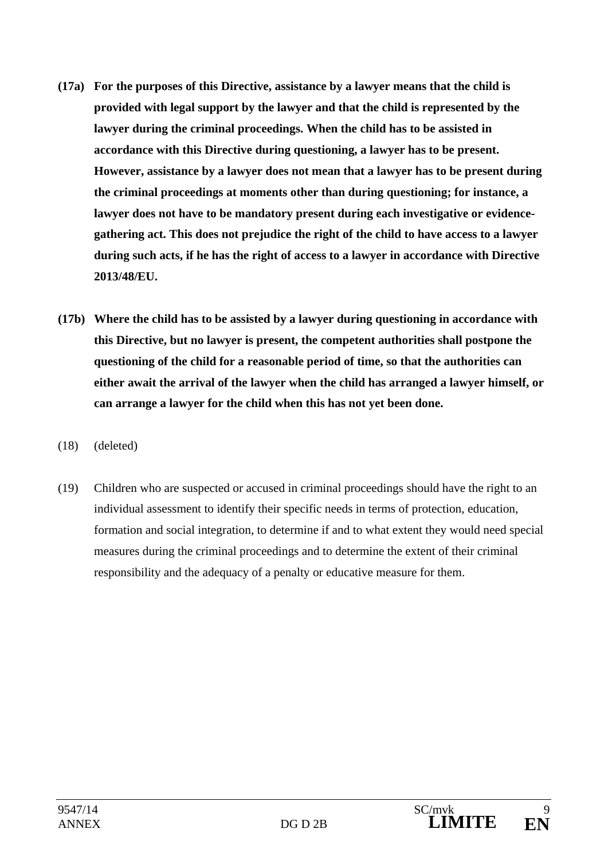- **(17a) For the purposes of this Directive, assistance by a lawyer means that the child is provided with legal support by the lawyer and that the child is represented by the lawyer during the criminal proceedings. When the child has to be assisted in accordance with this Directive during questioning, a lawyer has to be present. However, assistance by a lawyer does not mean that a lawyer has to be present during the criminal proceedings at moments other than during questioning; for instance, a lawyer does not have to be mandatory present during each investigative or evidencegathering act. This does not prejudice the right of the child to have access to a lawyer during such acts, if he has the right of access to a lawyer in accordance with Directive 2013/48/EU.**
- **(17b) Where the child has to be assisted by a lawyer during questioning in accordance with this Directive, but no lawyer is present, the competent authorities shall postpone the questioning of the child for a reasonable period of time, so that the authorities can either await the arrival of the lawyer when the child has arranged a lawyer himself, or can arrange a lawyer for the child when this has not yet been done.**
- (18) (deleted)
- (19) Children who are suspected or accused in criminal proceedings should have the right to an individual assessment to identify their specific needs in terms of protection, education, formation and social integration, to determine if and to what extent they would need special measures during the criminal proceedings and to determine the extent of their criminal responsibility and the adequacy of a penalty or educative measure for them.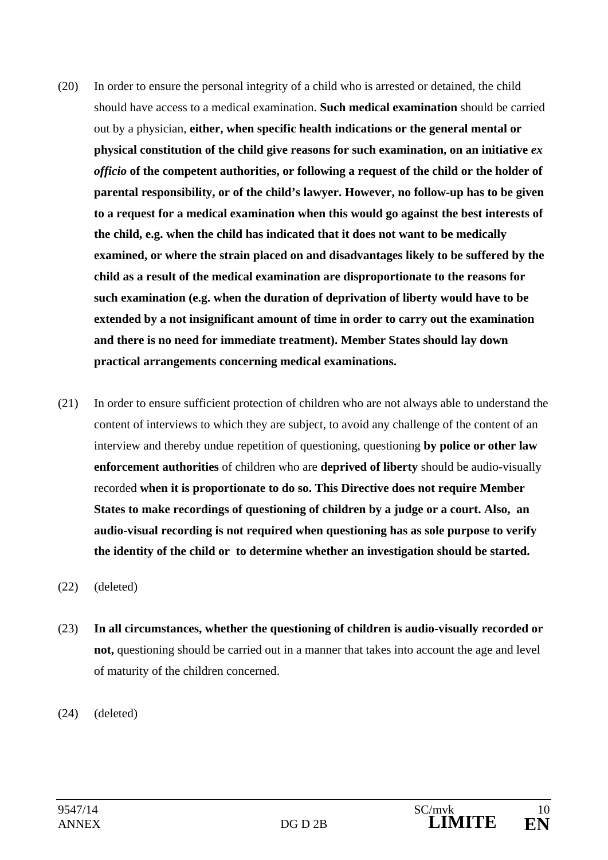- (20) In order to ensure the personal integrity of a child who is arrested or detained, the child should have access to a medical examination. **Such medical examination** should be carried out by a physician, **either, when specific health indications or the general mental or physical constitution of the child give reasons for such examination, on an initiative** *ex officio* **of the competent authorities, or following a request of the child or the holder of parental responsibility, or of the child's lawyer. However, no follow-up has to be given to a request for a medical examination when this would go against the best interests of the child, e.g. when the child has indicated that it does not want to be medically examined, or where the strain placed on and disadvantages likely to be suffered by the child as a result of the medical examination are disproportionate to the reasons for such examination (e.g. when the duration of deprivation of liberty would have to be extended by a not insignificant amount of time in order to carry out the examination and there is no need for immediate treatment). Member States should lay down practical arrangements concerning medical examinations.**
- (21) In order to ensure sufficient protection of children who are not always able to understand the content of interviews to which they are subject, to avoid any challenge of the content of an interview and thereby undue repetition of questioning, questioning **by police or other law enforcement authorities** of children who are **deprived of liberty** should be audio-visually recorded **when it is proportionate to do so. This Directive does not require Member States to make recordings of questioning of children by a judge or a court. Also, an audio-visual recording is not required when questioning has as sole purpose to verify the identity of the child or to determine whether an investigation should be started.**
- (22) (deleted)
- (23) **In all circumstances, whether the questioning of children is audio-visually recorded or not,** questioning should be carried out in a manner that takes into account the age and level of maturity of the children concerned.
- (24) (deleted)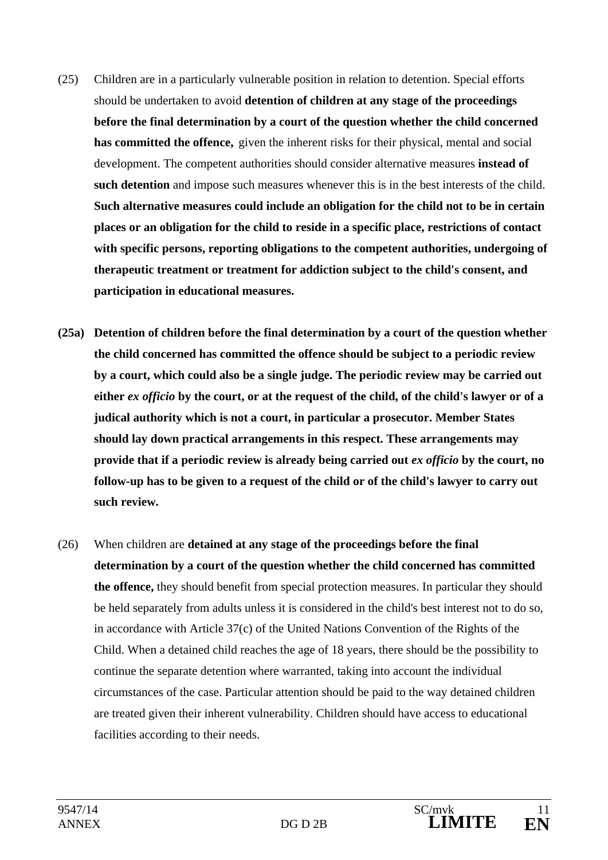- (25) Children are in a particularly vulnerable position in relation to detention. Special efforts should be undertaken to avoid **detention of children at any stage of the proceedings before the final determination by a court of the question whether the child concerned has committed the offence,** given the inherent risks for their physical, mental and social development. The competent authorities should consider alternative measures **instead of such detention** and impose such measures whenever this is in the best interests of the child. **Such alternative measures could include an obligation for the child not to be in certain places or an obligation for the child to reside in a specific place, restrictions of contact with specific persons, reporting obligations to the competent authorities, undergoing of therapeutic treatment or treatment for addiction subject to the child's consent, and participation in educational measures.**
- **(25a) Detention of children before the final determination by a court of the question whether the child concerned has committed the offence should be subject to a periodic review by a court, which could also be a single judge. The periodic review may be carried out either** *ex officio* **by the court, or at the request of the child, of the child's lawyer or of a judical authority which is not a court, in particular a prosecutor. Member States should lay down practical arrangements in this respect. These arrangements may provide that if a periodic review is already being carried out** *ex officio* **by the court, no follow-up has to be given to a request of the child or of the child's lawyer to carry out such review.**
- (26) When children are **detained at any stage of the proceedings before the final determination by a court of the question whether the child concerned has committed the offence,** they should benefit from special protection measures. In particular they should be held separately from adults unless it is considered in the child's best interest not to do so, in accordance with Article 37(c) of the United Nations Convention of the Rights of the Child. When a detained child reaches the age of 18 years, there should be the possibility to continue the separate detention where warranted, taking into account the individual circumstances of the case. Particular attention should be paid to the way detained children are treated given their inherent vulnerability. Children should have access to educational facilities according to their needs.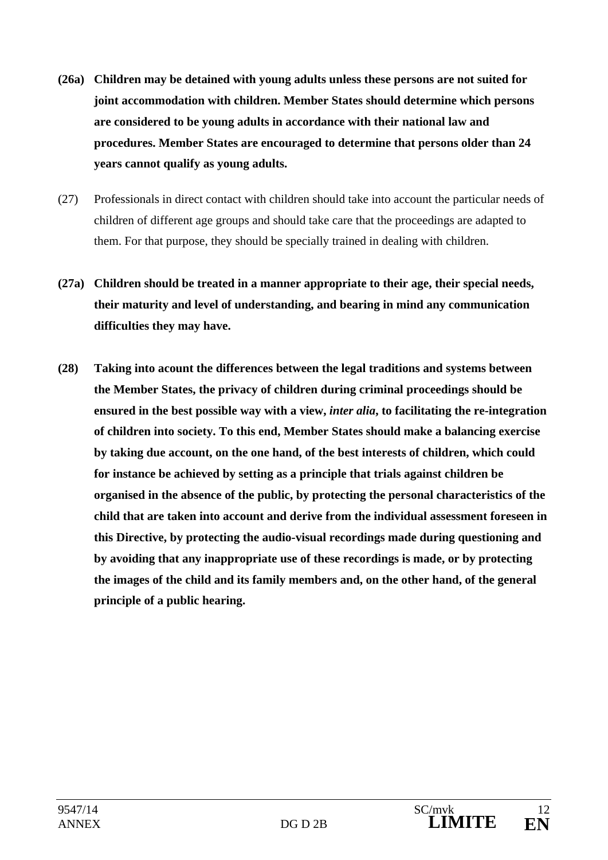- **(26a) Children may be detained with young adults unless these persons are not suited for joint accommodation with children. Member States should determine which persons are considered to be young adults in accordance with their national law and procedures. Member States are encouraged to determine that persons older than 24 years cannot qualify as young adults.**
- (27) Professionals in direct contact with children should take into account the particular needs of children of different age groups and should take care that the proceedings are adapted to them. For that purpose, they should be specially trained in dealing with children.
- **(27a) Children should be treated in a manner appropriate to their age, their special needs, their maturity and level of understanding, and bearing in mind any communication difficulties they may have.**
- **(28) Taking into acount the differences between the legal traditions and systems between the Member States, the privacy of children during criminal proceedings should be ensured in the best possible way with a view,** *inter alia***, to facilitating the re-integration of children into society. To this end, Member States should make a balancing exercise by taking due account, on the one hand, of the best interests of children, which could for instance be achieved by setting as a principle that trials against children be organised in the absence of the public, by protecting the personal characteristics of the child that are taken into account and derive from the individual assessment foreseen in this Directive, by protecting the audio-visual recordings made during questioning and by avoiding that any inappropriate use of these recordings is made, or by protecting the images of the child and its family members and, on the other hand, of the general principle of a public hearing.**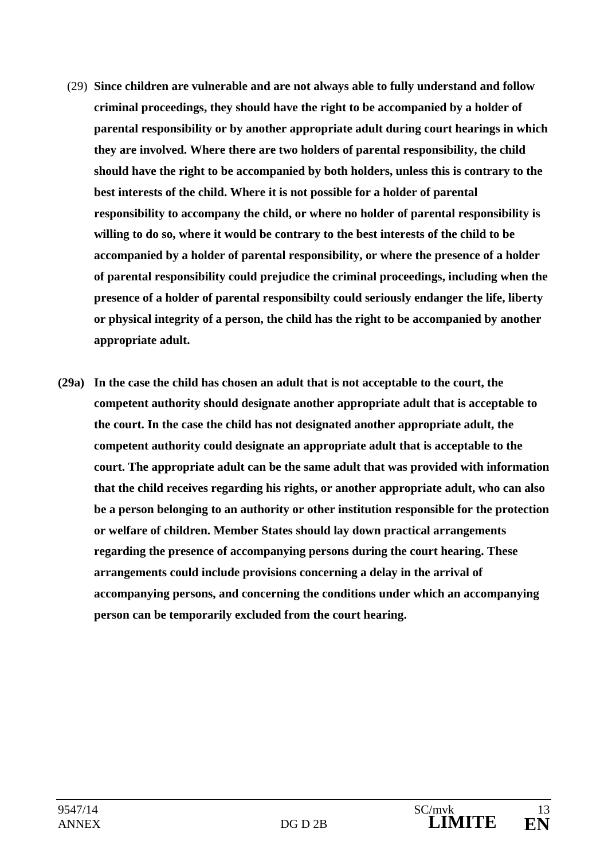- (29) **Since children are vulnerable and are not always able to fully understand and follow criminal proceedings, they should have the right to be accompanied by a holder of parental responsibility or by another appropriate adult during court hearings in which they are involved. Where there are two holders of parental responsibility, the child should have the right to be accompanied by both holders, unless this is contrary to the best interests of the child. Where it is not possible for a holder of parental responsibility to accompany the child, or where no holder of parental responsibility is willing to do so, where it would be contrary to the best interests of the child to be accompanied by a holder of parental responsibility, or where the presence of a holder of parental responsibility could prejudice the criminal proceedings, including when the presence of a holder of parental responsibilty could seriously endanger the life, liberty or physical integrity of a person, the child has the right to be accompanied by another appropriate adult.**
- **(29a) In the case the child has chosen an adult that is not acceptable to the court, the competent authority should designate another appropriate adult that is acceptable to the court. In the case the child has not designated another appropriate adult, the competent authority could designate an appropriate adult that is acceptable to the court. The appropriate adult can be the same adult that was provided with information that the child receives regarding his rights, or another appropriate adult, who can also be a person belonging to an authority or other institution responsible for the protection or welfare of children. Member States should lay down practical arrangements regarding the presence of accompanying persons during the court hearing. These arrangements could include provisions concerning a delay in the arrival of accompanying persons, and concerning the conditions under which an accompanying person can be temporarily excluded from the court hearing.**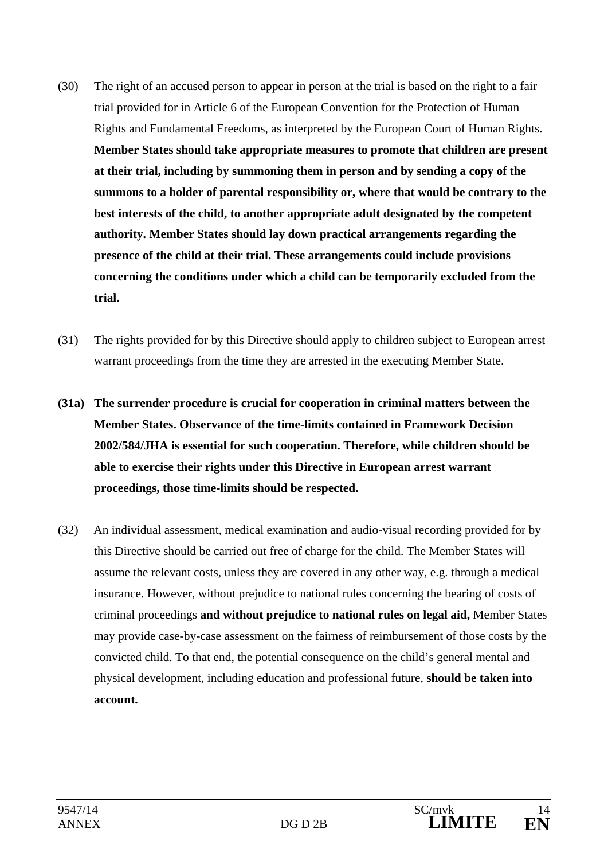- (30) The right of an accused person to appear in person at the trial is based on the right to a fair trial provided for in Article 6 of the European Convention for the Protection of Human Rights and Fundamental Freedoms, as interpreted by the European Court of Human Rights. **Member States should take appropriate measures to promote that children are present at their trial, including by summoning them in person and by sending a copy of the summons to a holder of parental responsibility or, where that would be contrary to the best interests of the child, to another appropriate adult designated by the competent authority. Member States should lay down practical arrangements regarding the presence of the child at their trial. These arrangements could include provisions concerning the conditions under which a child can be temporarily excluded from the trial.**
- (31) The rights provided for by this Directive should apply to children subject to European arrest warrant proceedings from the time they are arrested in the executing Member State.
- **(31a) The surrender procedure is crucial for cooperation in criminal matters between the Member States. Observance of the time-limits contained in Framework Decision 2002/584/JHA is essential for such cooperation. Therefore, while children should be able to exercise their rights under this Directive in European arrest warrant proceedings, those time-limits should be respected.**
- (32) An individual assessment, medical examination and audio-visual recording provided for by this Directive should be carried out free of charge for the child. The Member States will assume the relevant costs, unless they are covered in any other way, e.g. through a medical insurance. However, without prejudice to national rules concerning the bearing of costs of criminal proceedings **and without prejudice to national rules on legal aid,** Member States may provide case-by-case assessment on the fairness of reimbursement of those costs by the convicted child. To that end, the potential consequence on the child's general mental and physical development, including education and professional future, **should be taken into account.**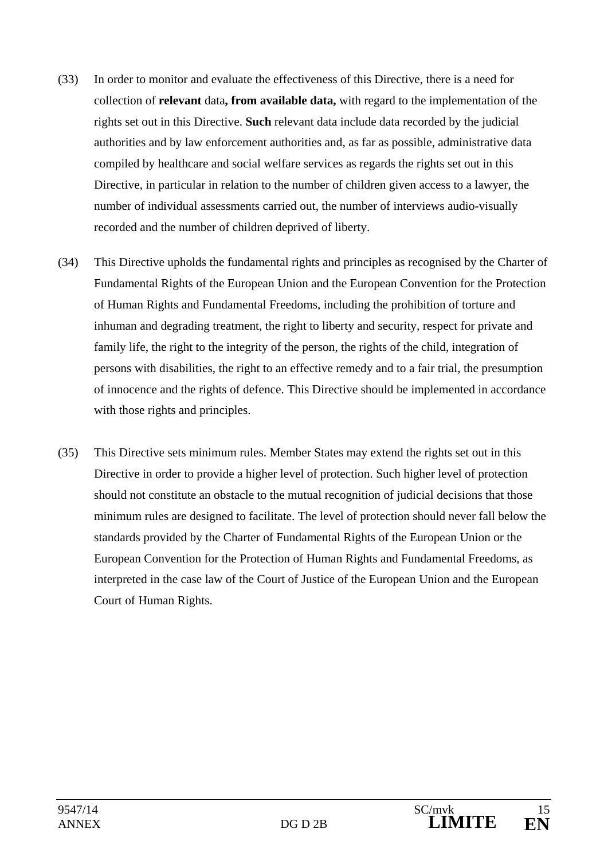- (33) In order to monitor and evaluate the effectiveness of this Directive, there is a need for collection of **relevant** data**, from available data,** with regard to the implementation of the rights set out in this Directive. **Such** relevant data include data recorded by the judicial authorities and by law enforcement authorities and, as far as possible, administrative data compiled by healthcare and social welfare services as regards the rights set out in this Directive, in particular in relation to the number of children given access to a lawyer, the number of individual assessments carried out, the number of interviews audio-visually recorded and the number of children deprived of liberty.
- (34) This Directive upholds the fundamental rights and principles as recognised by the Charter of Fundamental Rights of the European Union and the European Convention for the Protection of Human Rights and Fundamental Freedoms, including the prohibition of torture and inhuman and degrading treatment, the right to liberty and security, respect for private and family life, the right to the integrity of the person, the rights of the child, integration of persons with disabilities, the right to an effective remedy and to a fair trial, the presumption of innocence and the rights of defence. This Directive should be implemented in accordance with those rights and principles.
- (35) This Directive sets minimum rules. Member States may extend the rights set out in this Directive in order to provide a higher level of protection. Such higher level of protection should not constitute an obstacle to the mutual recognition of judicial decisions that those minimum rules are designed to facilitate. The level of protection should never fall below the standards provided by the Charter of Fundamental Rights of the European Union or the European Convention for the Protection of Human Rights and Fundamental Freedoms, as interpreted in the case law of the Court of Justice of the European Union and the European Court of Human Rights.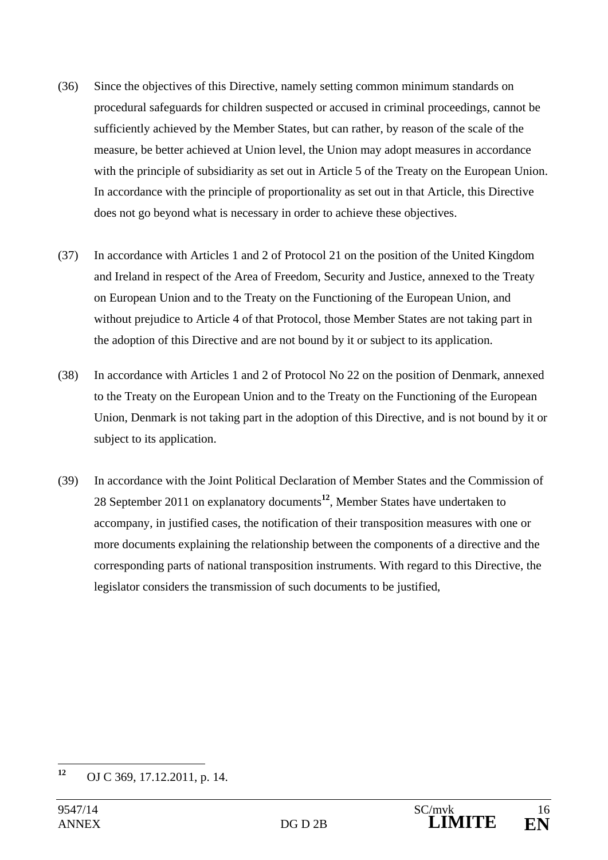- (36) Since the objectives of this Directive, namely setting common minimum standards on procedural safeguards for children suspected or accused in criminal proceedings, cannot be sufficiently achieved by the Member States, but can rather, by reason of the scale of the measure, be better achieved at Union level, the Union may adopt measures in accordance with the principle of subsidiarity as set out in Article 5 of the Treaty on the European Union. In accordance with the principle of proportionality as set out in that Article, this Directive does not go beyond what is necessary in order to achieve these objectives.
- (37) In accordance with Articles 1 and 2 of Protocol 21 on the position of the United Kingdom and Ireland in respect of the Area of Freedom, Security and Justice, annexed to the Treaty on European Union and to the Treaty on the Functioning of the European Union, and without prejudice to Article 4 of that Protocol, those Member States are not taking part in the adoption of this Directive and are not bound by it or subject to its application.
- (38) In accordance with Articles 1 and 2 of Protocol No 22 on the position of Denmark, annexed to the Treaty on the European Union and to the Treaty on the Functioning of the European Union, Denmark is not taking part in the adoption of this Directive, and is not bound by it or subject to its application.
- (39) In accordance with the Joint Political Declaration of Member States and the Commission of 28 September 2011 on explanatory documents**<sup>12</sup>**, Member States have undertaken to accompany, in justified cases, the notification of their transposition measures with one or more documents explaining the relationship between the components of a directive and the corresponding parts of national transposition instruments. With regard to this Directive, the legislator considers the transmission of such documents to be justified,

<sup>12</sup> **<sup>12</sup>** OJ C 369, 17.12.2011, p. 14.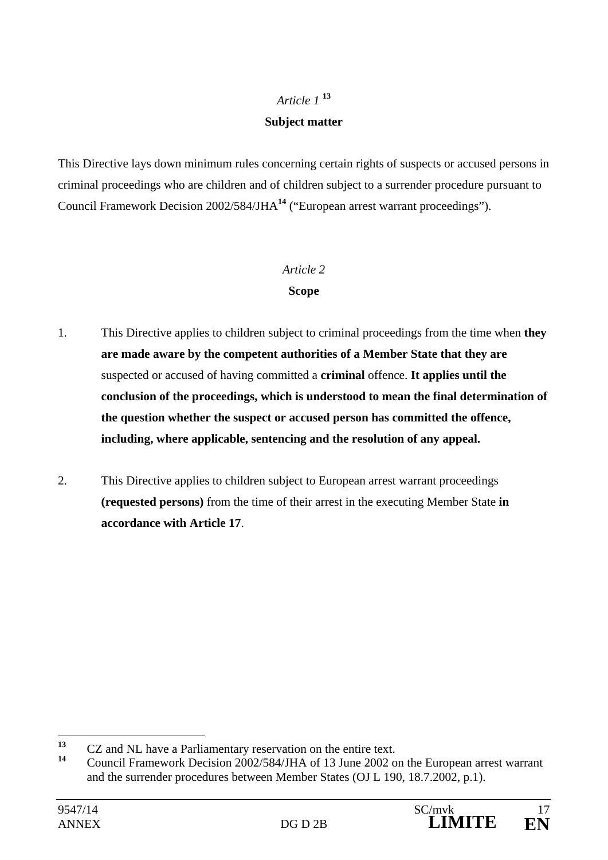## *Article 1* **<sup>13</sup>**

## **Subject matter**

This Directive lays down minimum rules concerning certain rights of suspects or accused persons in criminal proceedings who are children and of children subject to a surrender procedure pursuant to Council Framework Decision 2002/584/JHA**<sup>14</sup>** ("European arrest warrant proceedings").

### *Article 2*

## **Scope**

- 1. This Directive applies to children subject to criminal proceedings from the time when **they are made aware by the competent authorities of a Member State that they are** suspected or accused of having committed a **criminal** offence. **It applies until the conclusion of the proceedings, which is understood to mean the final determination of the question whether the suspect or accused person has committed the offence, including, where applicable, sentencing and the resolution of any appeal.**
- 2. This Directive applies to children subject to European arrest warrant proceedings **(requested persons)** from the time of their arrest in the executing Member State **in accordance with Article 17**.

 $13$ <sup>13</sup> CZ and NL have a Parliamentary reservation on the entire text.

**<sup>14</sup>** Council Framework Decision 2002/584/JHA of 13 June 2002 on the European arrest warrant and the surrender procedures between Member States (OJ L 190, 18.7.2002, p.1).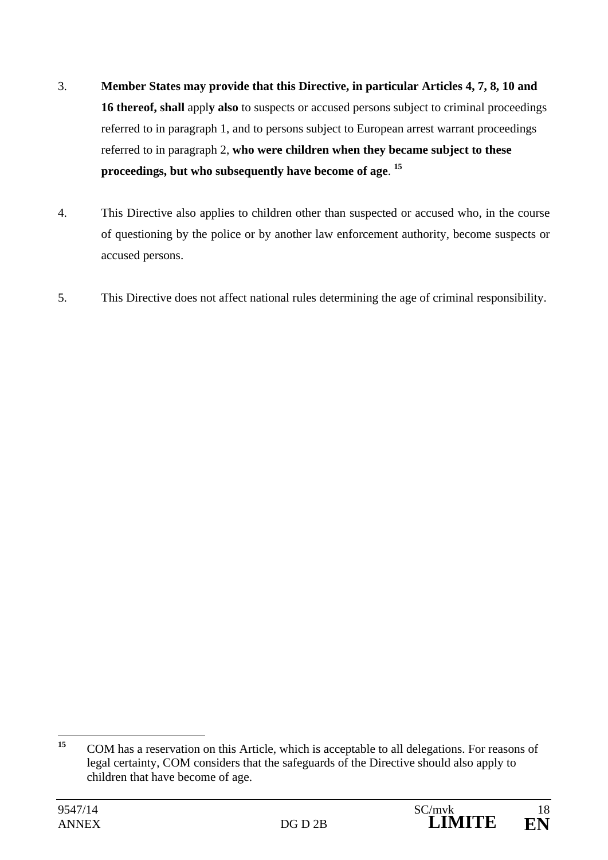- 3. **Member States may provide that this Directive, in particular Articles 4, 7, 8, 10 and 16 thereof, shall** appl**y also** to suspects or accused persons subject to criminal proceedings referred to in paragraph 1, and to persons subject to European arrest warrant proceedings referred to in paragraph 2, **who were children when they became subject to these proceedings, but who subsequently have become of age**. **15**
- 4. This Directive also applies to children other than suspected or accused who, in the course of questioning by the police or by another law enforcement authority, become suspects or accused persons.
- 5. This Directive does not affect national rules determining the age of criminal responsibility.

 $15$ **<sup>15</sup>** COM has a reservation on this Article, which is acceptable to all delegations. For reasons of legal certainty, COM considers that the safeguards of the Directive should also apply to children that have become of age.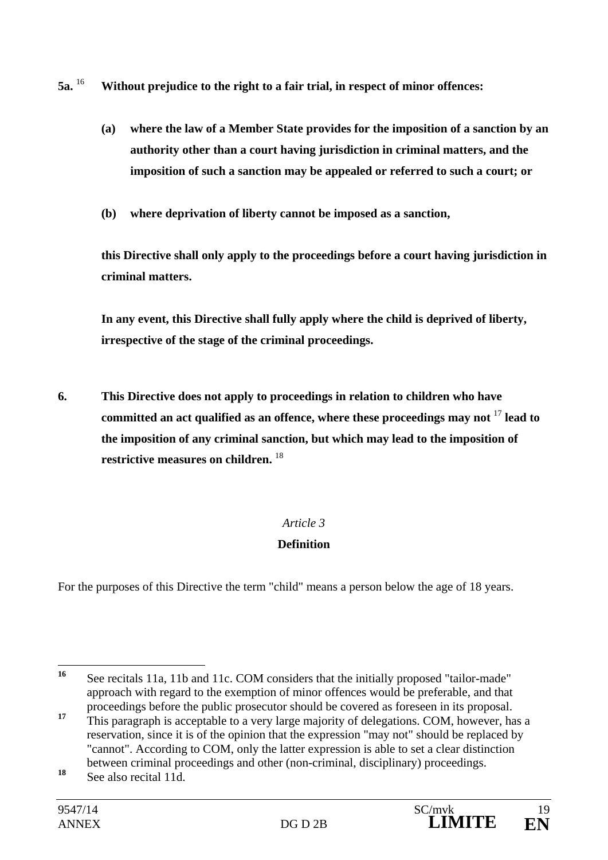- **5a.** <sup>16</sup> **Without prejudice to the right to a fair trial, in respect of minor offences:** 
	- **(a) where the law of a Member State provides for the imposition of a sanction by an authority other than a court having jurisdiction in criminal matters, and the imposition of such a sanction may be appealed or referred to such a court; or**
	- **(b) where deprivation of liberty cannot be imposed as a sanction,**

**this Directive shall only apply to the proceedings before a court having jurisdiction in criminal matters.** 

**In any event, this Directive shall fully apply where the child is deprived of liberty, irrespective of the stage of the criminal proceedings.** 

**6. This Directive does not apply to proceedings in relation to children who have committed an act qualified as an offence, where these proceedings may not** <sup>17</sup> **lead to the imposition of any criminal sanction, but which may lead to the imposition of restrictive measures on children.** <sup>18</sup>

## *Article 3*

## **Definition**

For the purposes of this Directive the term "child" means a person below the age of 18 years.

 $16$ See recitals 11a, 11b and 11c. COM considers that the initially proposed "tailor-made" approach with regard to the exemption of minor offences would be preferable, and that proceedings before the public prosecutor should be covered as foreseen in its proposal.

<sup>&</sup>lt;sup>17</sup> This paragraph is acceptable to a very large majority of delegations. COM, however, has a reservation, since it is of the opinion that the expression "may not" should be replaced by "cannot". According to COM, only the latter expression is able to set a clear distinction between criminal proceedings and other (non-criminal, disciplinary) proceedings.

**<sup>18</sup>** See also recital 11d.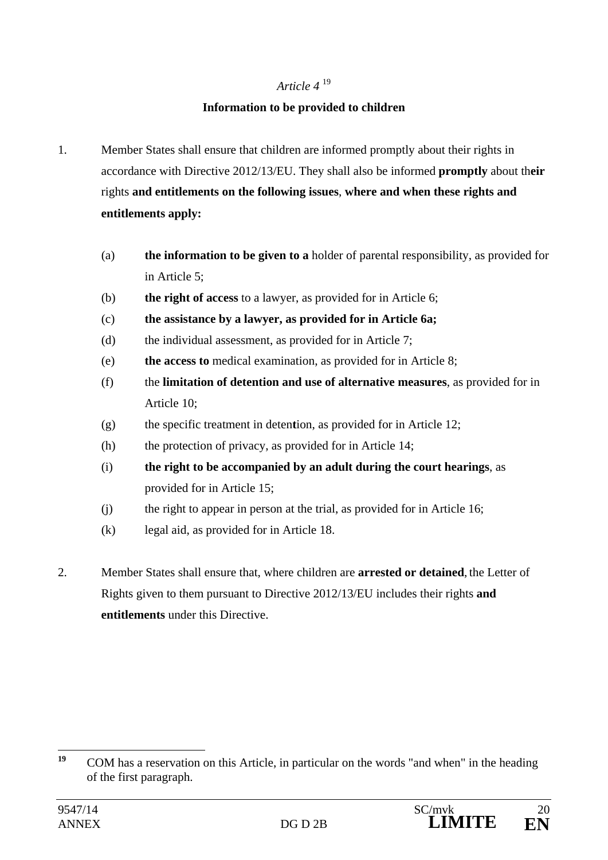## *Article 4* <sup>19</sup>

## **Information to be provided to children**

- 1. Member States shall ensure that children are informed promptly about their rights in accordance with Directive 2012/13/EU. They shall also be informed **promptly** about th**eir** rights **and entitlements on the following issues**, **where and when these rights and entitlements apply:** 
	- (a) **the information to be given to a** holder of parental responsibility, as provided for in Article 5;
	- (b) **the right of access** to a lawyer, as provided for in Article 6;
	- (c) **the assistance by a lawyer, as provided for in Article 6a;**
	- (d) the individual assessment, as provided for in Article 7;
	- (e) **the access to** medical examination, as provided for in Article 8;
	- (f) the **limitation of detention and use of alternative measures**, as provided for in Article 10;
	- (g) the specific treatment in deten**t**ion, as provided for in Article 12;
	- (h) the protection of privacy, as provided for in Article 14;
	- (i) **the right to be accompanied by an adult during the court hearings**, as provided for in Article 15;
	- (j) the right to appear in person at the trial, as provided for in Article 16;
	- (k) legal aid, as provided for in Article 18.
- 2. Member States shall ensure that, where children are **arrested or detained**, the Letter of Rights given to them pursuant to Directive 2012/13/EU includes their rights **and entitlements** under this Directive.

<sup>10</sup> **<sup>19</sup>** COM has a reservation on this Article, in particular on the words "and when" in the heading of the first paragraph.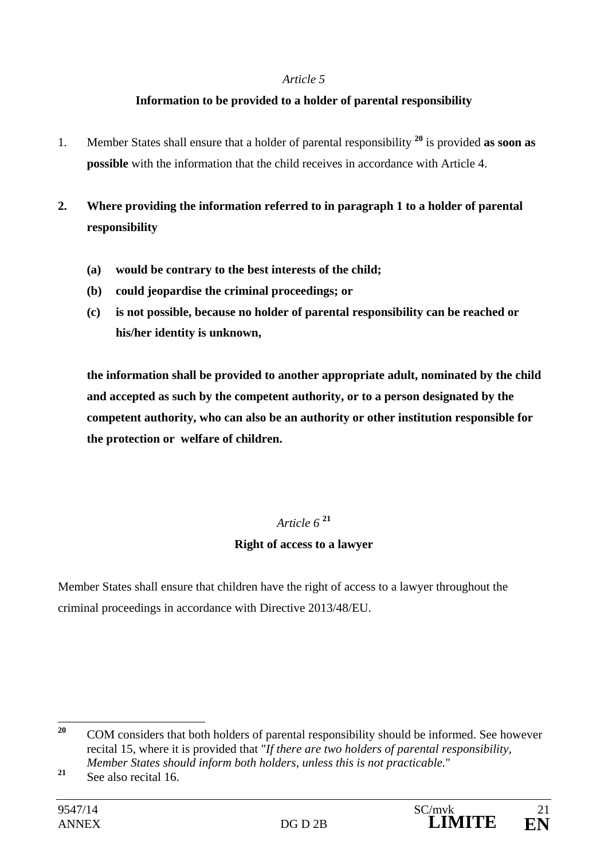## **Information to be provided to a holder of parental responsibility**

- 1. Member States shall ensure that a holder of parental responsibility **<sup>20</sup>** is provided **as soon as possible** with the information that the child receives in accordance with Article 4.
- **2. Where providing the information referred to in paragraph 1 to a holder of parental responsibility** 
	- **(a) would be contrary to the best interests of the child;**
	- **(b) could jeopardise the criminal proceedings; or**
	- **(c) is not possible, because no holder of parental responsibility can be reached or his/her identity is unknown,**

 **the information shall be provided to another appropriate adult, nominated by the child and accepted as such by the competent authority, or to a person designated by the competent authority, who can also be an authority or other institution responsible for the protection or welfare of children.** 

## *Article 6* **<sup>21</sup>**

## **Right of access to a lawyer**

Member States shall ensure that children have the right of access to a lawyer throughout the criminal proceedings in accordance with Directive 2013/48/EU.

 $20$ **<sup>20</sup>** COM considers that both holders of parental responsibility should be informed. See however recital 15, where it is provided that "*If there are two holders of parental responsibility, Member States should inform both holders, unless this is not practicable.*"

**<sup>21</sup>** See also recital 16.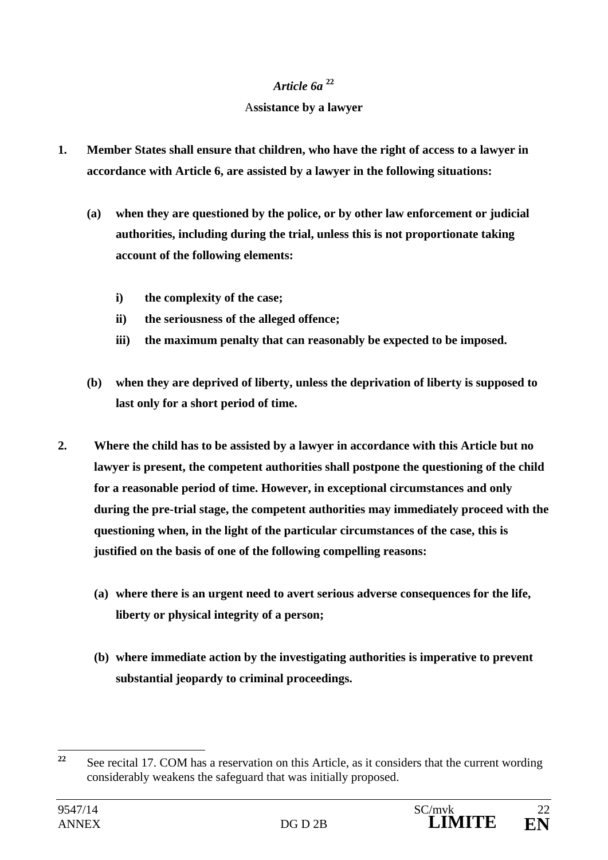## *Article 6a* **<sup>22</sup>**

## A**ssistance by a lawyer**

- **1. Member States shall ensure that children, who have the right of access to a lawyer in accordance with Article 6, are assisted by a lawyer in the following situations:** 
	- **(a) when they are questioned by the police, or by other law enforcement or judicial authorities, including during the trial, unless this is not proportionate taking account of the following elements:** 
		- **i) the complexity of the case;**
		- **ii) the seriousness of the alleged offence;**
		- **iii) the maximum penalty that can reasonably be expected to be imposed.**
	- **(b) when they are deprived of liberty, unless the deprivation of liberty is supposed to last only for a short period of time.**
- **2. Where the child has to be assisted by a lawyer in accordance with this Article but no lawyer is present, the competent authorities shall postpone the questioning of the child for a reasonable period of time. However, in exceptional circumstances and only during the pre-trial stage, the competent authorities may immediately proceed with the questioning when, in the light of the particular circumstances of the case, this is justified on the basis of one of the following compelling reasons:** 
	- **(a) where there is an urgent need to avert serious adverse consequences for the life, liberty or physical integrity of a person;**
	- **(b) where immediate action by the investigating authorities is imperative to prevent substantial jeopardy to criminal proceedings.**

 $22$ **<sup>22</sup>** See recital 17. COM has a reservation on this Article, as it considers that the current wording considerably weakens the safeguard that was initially proposed.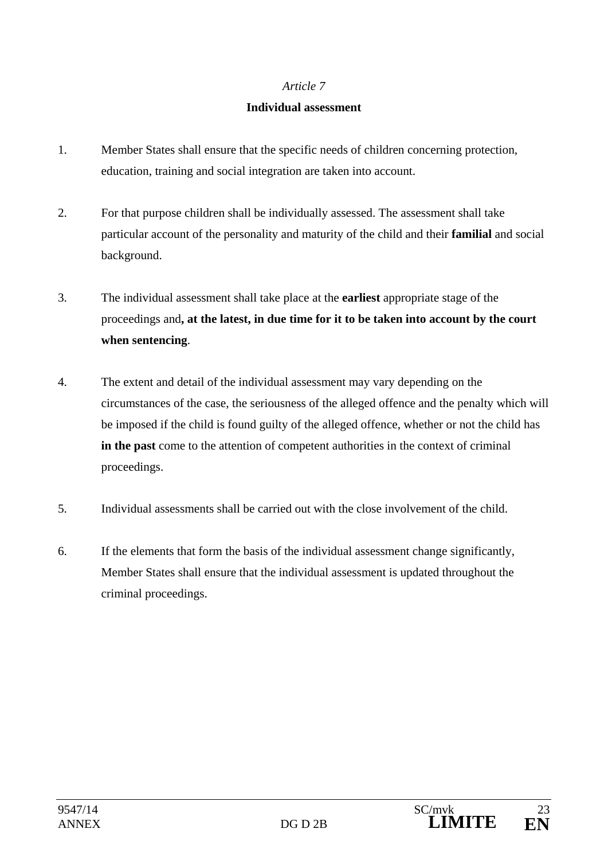### **Individual assessment**

- 1. Member States shall ensure that the specific needs of children concerning protection, education, training and social integration are taken into account.
- 2. For that purpose children shall be individually assessed. The assessment shall take particular account of the personality and maturity of the child and their **familial** and social background.
- 3. The individual assessment shall take place at the **earliest** appropriate stage of the proceedings and**, at the latest, in due time for it to be taken into account by the court when sentencing**.
- 4. The extent and detail of the individual assessment may vary depending on the circumstances of the case, the seriousness of the alleged offence and the penalty which will be imposed if the child is found guilty of the alleged offence, whether or not the child has **in the past** come to the attention of competent authorities in the context of criminal proceedings.
- 5. Individual assessments shall be carried out with the close involvement of the child.
- 6. If the elements that form the basis of the individual assessment change significantly, Member States shall ensure that the individual assessment is updated throughout the criminal proceedings.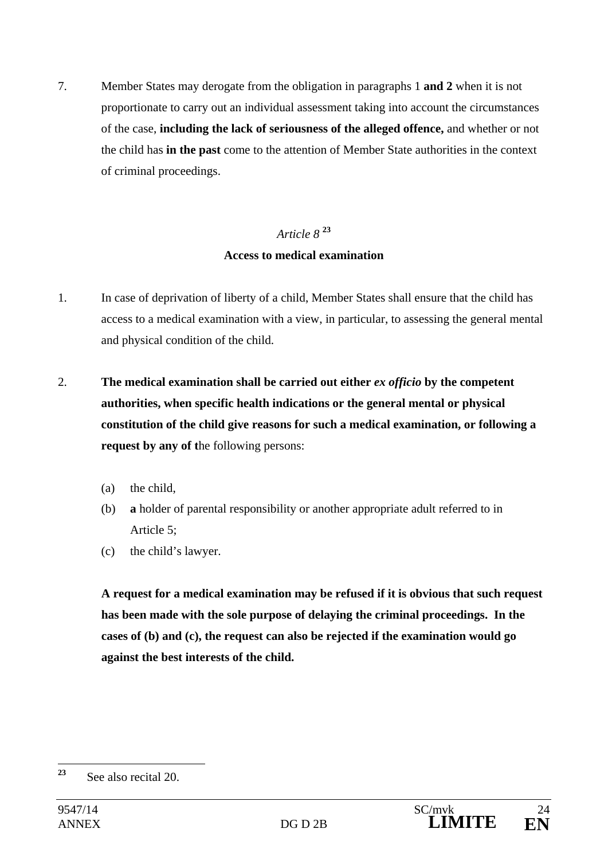7. Member States may derogate from the obligation in paragraphs 1 **and 2** when it is not proportionate to carry out an individual assessment taking into account the circumstances of the case, **including the lack of seriousness of the alleged offence,** and whether or not the child has **in the past** come to the attention of Member State authorities in the context of criminal proceedings.

# *Article 8* **<sup>23</sup> Access to medical examination**

- 1. In case of deprivation of liberty of a child, Member States shall ensure that the child has access to a medical examination with a view, in particular, to assessing the general mental and physical condition of the child.
- 2. **The medical examination shall be carried out either** *ex officio* **by the competent authorities, when specific health indications or the general mental or physical constitution of the child give reasons for such a medical examination, or following a request by any of t**he following persons:
	- (a) the child,
	- (b) **a** holder of parental responsibility or another appropriate adult referred to in Article 5;
	- (c) the child's lawyer.

**A request for a medical examination may be refused if it is obvious that such request has been made with the sole purpose of delaying the criminal proceedings. In the cases of (b) and (c), the request can also be rejected if the examination would go against the best interests of the child.** 

<sup>23</sup> **<sup>23</sup>** See also recital 20.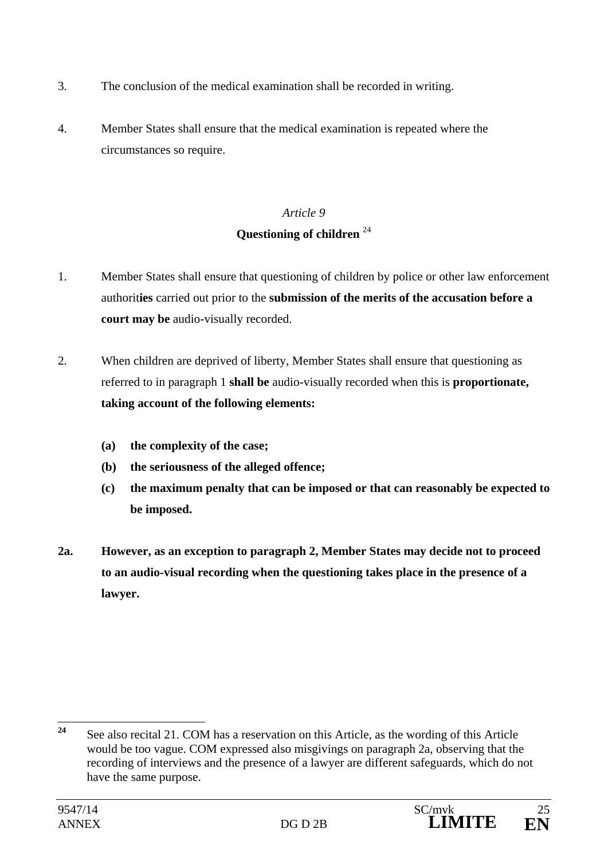- 3. The conclusion of the medical examination shall be recorded in writing.
- 4. Member States shall ensure that the medical examination is repeated where the circumstances so require.

## *Article 9* **Questioning of children** <sup>24</sup>

- 1. Member States shall ensure that questioning of children by police or other law enforcement authorit**ies** carried out prior to the **submission of the merits of the accusation before a court may be** audio-visually recorded.
- 2. When children are deprived of liberty, Member States shall ensure that questioning as referred to in paragraph 1 **shall be** audio-visually recorded when this is **proportionate, taking account of the following elements:** 
	- **(a) the complexity of the case;**
	- **(b) the seriousness of the alleged offence;**
	- **(c) the maximum penalty that can be imposed or that can reasonably be expected to be imposed.**
- **2a. However, as an exception to paragraph 2, Member States may decide not to proceed to an audio-visual recording when the questioning takes place in the presence of a lawyer.**

 $24$ **<sup>24</sup>** See also recital 21. COM has a reservation on this Article, as the wording of this Article would be too vague. COM expressed also misgivings on paragraph 2a, observing that the recording of interviews and the presence of a lawyer are different safeguards, which do not have the same purpose.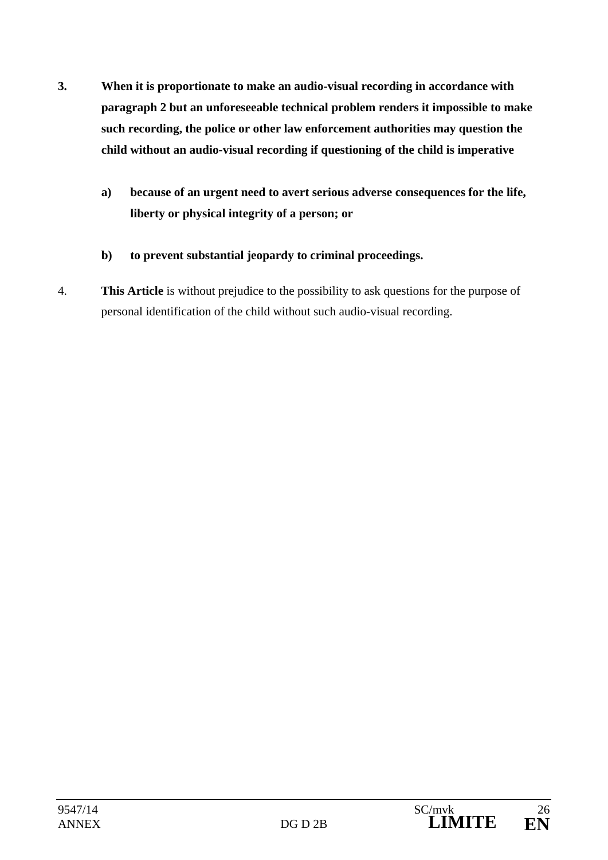- **3. When it is proportionate to make an audio-visual recording in accordance with paragraph 2 but an unforeseeable technical problem renders it impossible to make such recording, the police or other law enforcement authorities may question the child without an audio-visual recording if questioning of the child is imperative** 
	- **a) because of an urgent need to avert serious adverse consequences for the life, liberty or physical integrity of a person; or**
	- **b) to prevent substantial jeopardy to criminal proceedings.**
- 4. **This Article** is without prejudice to the possibility to ask questions for the purpose of personal identification of the child without such audio-visual recording.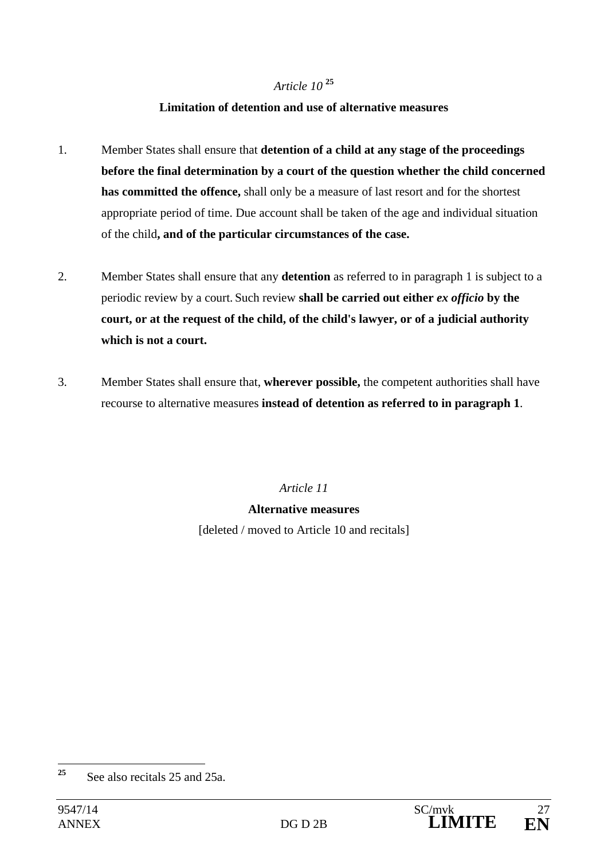## *Article 10* **<sup>25</sup>**

### **Limitation of detention and use of alternative measures**

- 1. Member States shall ensure that **detention of a child at any stage of the proceedings before the final determination by a court of the question whether the child concerned has committed the offence,** shall only be a measure of last resort and for the shortest appropriate period of time. Due account shall be taken of the age and individual situation of the child**, and of the particular circumstances of the case.**
- 2. Member States shall ensure that any **detention** as referred to in paragraph 1 is subject to a periodic review by a court. Such review **shall be carried out either** *ex officio* **by the court, or at the request of the child, of the child's lawyer, or of a judicial authority which is not a court.**
- 3. Member States shall ensure that, **wherever possible,** the competent authorities shall have recourse to alternative measures **instead of detention as referred to in paragraph 1**.

*Article 11* 

### **Alternative measures**

[deleted / moved to Article 10 and recitals]

<sup>25</sup> **<sup>25</sup>** See also recitals 25 and 25a.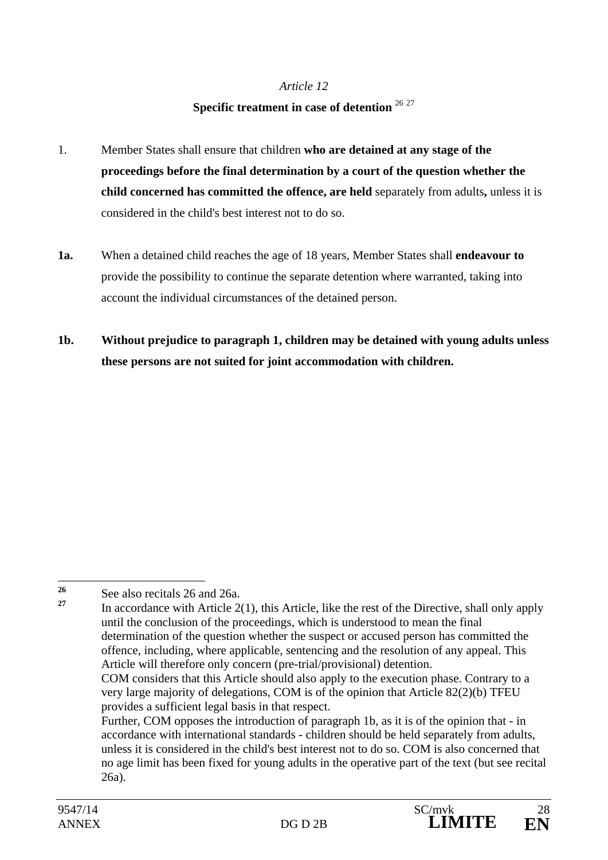# **Specific treatment in case of detention** <sup>26</sup> <sup>27</sup>

- 1. Member States shall ensure that children **who are detained at any stage of the proceedings before the final determination by a court of the question whether the child concerned has committed the offence, are held** separately from adults**,** unless it is considered in the child's best interest not to do so.
- **1a.** When a detained child reaches the age of 18 years, Member States shall **endeavour to** provide the possibility to continue the separate detention where warranted, taking into account the individual circumstances of the detained person.
- **1b. Without prejudice to paragraph 1, children may be detained with young adults unless these persons are not suited for joint accommodation with children.**

 $26$ <sup>26</sup> See also recitals 26 and 26a.

**<sup>27</sup>** In accordance with Article 2(1), this Article, like the rest of the Directive, shall only apply until the conclusion of the proceedings, which is understood to mean the final determination of the question whether the suspect or accused person has committed the offence, including, where applicable, sentencing and the resolution of any appeal. This Article will therefore only concern (pre-trial/provisional) detention. COM considers that this Article should also apply to the execution phase. Contrary to a very large majority of delegations, COM is of the opinion that Article 82(2)(b) TFEU provides a sufficient legal basis in that respect. Further, COM opposes the introduction of paragraph 1b, as it is of the opinion that - in

accordance with international standards - children should be held separately from adults, unless it is considered in the child's best interest not to do so. COM is also concerned that no age limit has been fixed for young adults in the operative part of the text (but see recital 26a).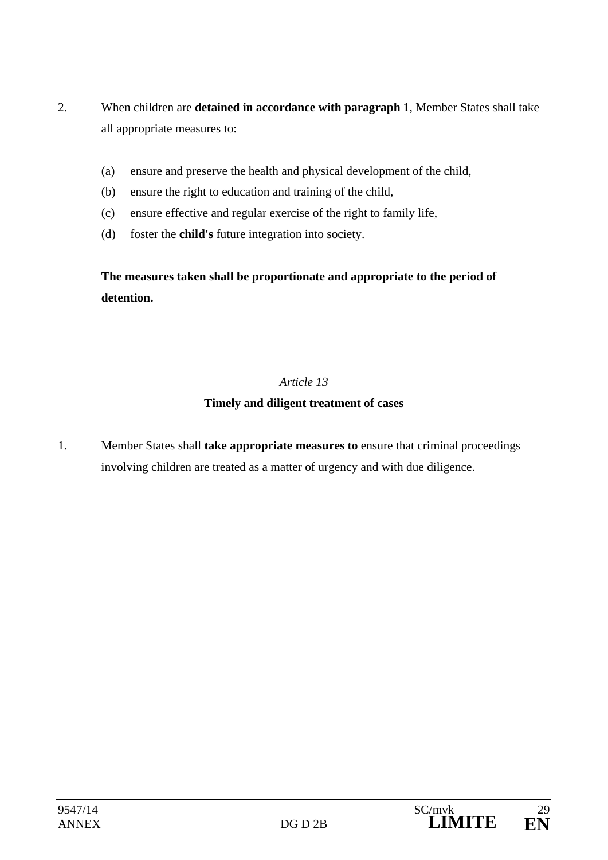- 2. When children are **detained in accordance with paragraph 1**, Member States shall take all appropriate measures to:
	- (a) ensure and preserve the health and physical development of the child,
	- (b) ensure the right to education and training of the child,
	- (c) ensure effective and regular exercise of the right to family life,
	- (d) foster the **child's** future integration into society.

**The measures taken shall be proportionate and appropriate to the period of detention.** 

## *Article 13*

## **Timely and diligent treatment of cases**

1. Member States shall **take appropriate measures to** ensure that criminal proceedings involving children are treated as a matter of urgency and with due diligence.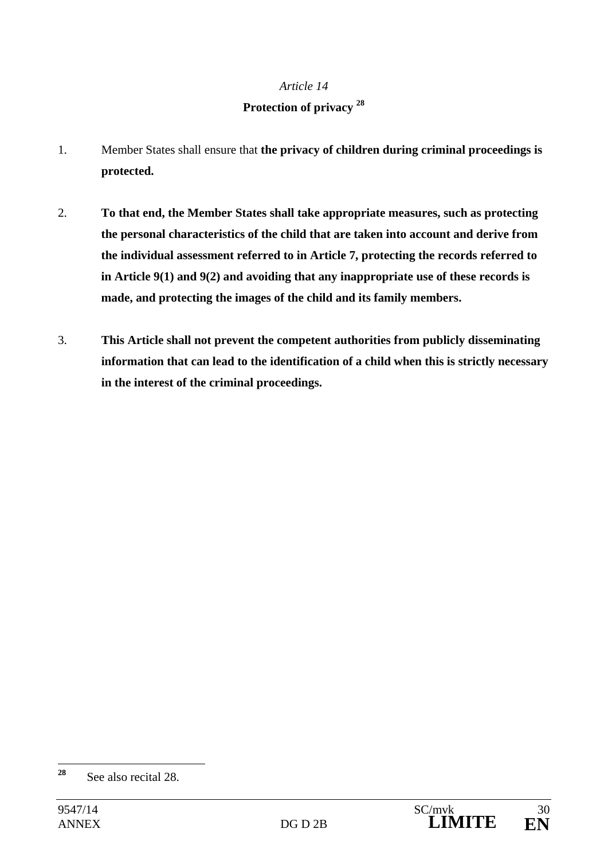## **Protection of privacy 28**

- 1. Member States shall ensure that **the privacy of children during criminal proceedings is protected.**
- 2. **To that end, the Member States shall take appropriate measures, such as protecting the personal characteristics of the child that are taken into account and derive from the individual assessment referred to in Article 7, protecting the records referred to in Article 9(1) and 9(2) and avoiding that any inappropriate use of these records is made, and protecting the images of the child and its family members.**
- 3. **This Article shall not prevent the competent authorities from publicly disseminating information that can lead to the identification of a child when this is strictly necessary in the interest of the criminal proceedings.**

<sup>28</sup> **<sup>28</sup>** See also recital 28.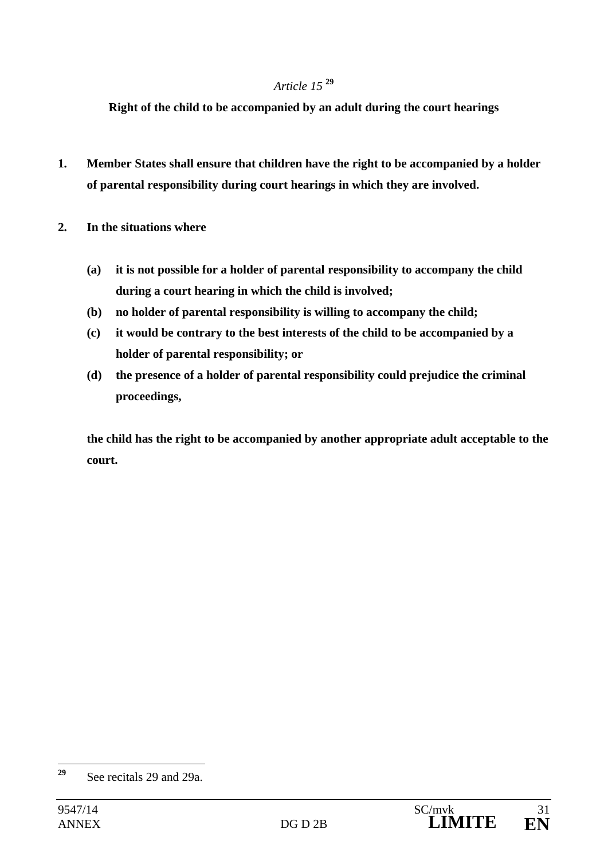## *Article 15* **<sup>29</sup>**

**Right of the child to be accompanied by an adult during the court hearings** 

- **1. Member States shall ensure that children have the right to be accompanied by a holder of parental responsibility during court hearings in which they are involved.**
- **2. In the situations where** 
	- **(a) it is not possible for a holder of parental responsibility to accompany the child during a court hearing in which the child is involved;**
	- **(b) no holder of parental responsibility is willing to accompany the child;**
	- **(c) it would be contrary to the best interests of the child to be accompanied by a holder of parental responsibility; or**
	- **(d) the presence of a holder of parental responsibility could prejudice the criminal proceedings,**

 **the child has the right to be accompanied by another appropriate adult acceptable to the court.**

 $29$ **<sup>29</sup>** See recitals 29 and 29a.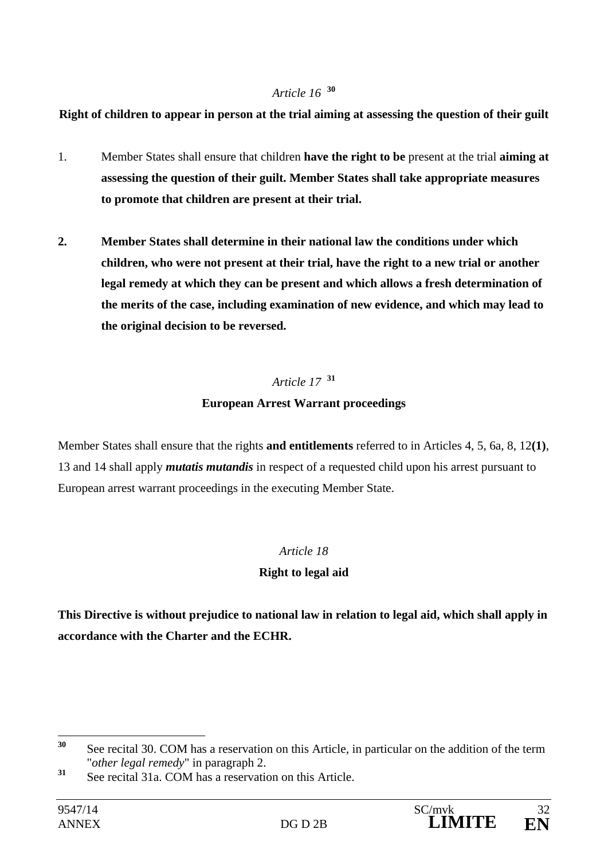## *Article 16* **<sup>30</sup>**

## **Right of children to appear in person at the trial aiming at assessing the question of their guilt**

- 1. Member States shall ensure that children **have the right to be** present at the trial **aiming at assessing the question of their guilt. Member States shall take appropriate measures to promote that children are present at their trial.**
- **2. Member States shall determine in their national law the conditions under which children, who were not present at their trial, have the right to a new trial or another legal remedy at which they can be present and which allows a fresh determination of the merits of the case, including examination of new evidence, and which may lead to the original decision to be reversed.**

## *Article 17* **<sup>31</sup>**

## **European Arrest Warrant proceedings**

Member States shall ensure that the rights **and entitlements** referred to in Articles 4, 5, 6a, 8, 12**(1)**, 13 and 14 shall apply *mutatis mutandis* in respect of a requested child upon his arrest pursuant to European arrest warrant proceedings in the executing Member State.

## *Article 18*

## **Right to legal aid**

**This Directive is without prejudice to national law in relation to legal aid, which shall apply in accordance with the Charter and the ECHR.** 

 $30$ **<sup>30</sup>** See recital 30. COM has a reservation on this Article, in particular on the addition of the term "*other legal remedy*" in paragraph 2.

**<sup>31</sup>** See recital 31a. COM has a reservation on this Article.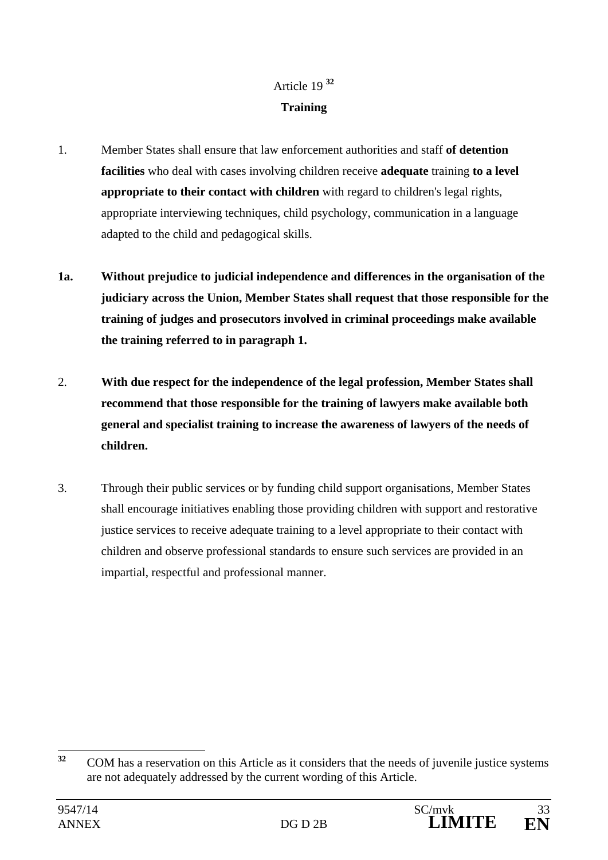# Article 19 **<sup>32</sup> Training**

- 1. Member States shall ensure that law enforcement authorities and staff **of detention facilities** who deal with cases involving children receive **adequate** training **to a level appropriate to their contact with children** with regard to children's legal rights, appropriate interviewing techniques, child psychology, communication in a language adapted to the child and pedagogical skills.
- **1a. Without prejudice to judicial independence and differences in the organisation of the judiciary across the Union, Member States shall request that those responsible for the training of judges and prosecutors involved in criminal proceedings make available the training referred to in paragraph 1.**
- 2. **With due respect for the independence of the legal profession, Member States shall recommend that those responsible for the training of lawyers make available both general and specialist training to increase the awareness of lawyers of the needs of children.**
- 3. Through their public services or by funding child support organisations, Member States shall encourage initiatives enabling those providing children with support and restorative justice services to receive adequate training to a level appropriate to their contact with children and observe professional standards to ensure such services are provided in an impartial, respectful and professional manner.

 $32$ **<sup>32</sup>** COM has a reservation on this Article as it considers that the needs of juvenile justice systems are not adequately addressed by the current wording of this Article.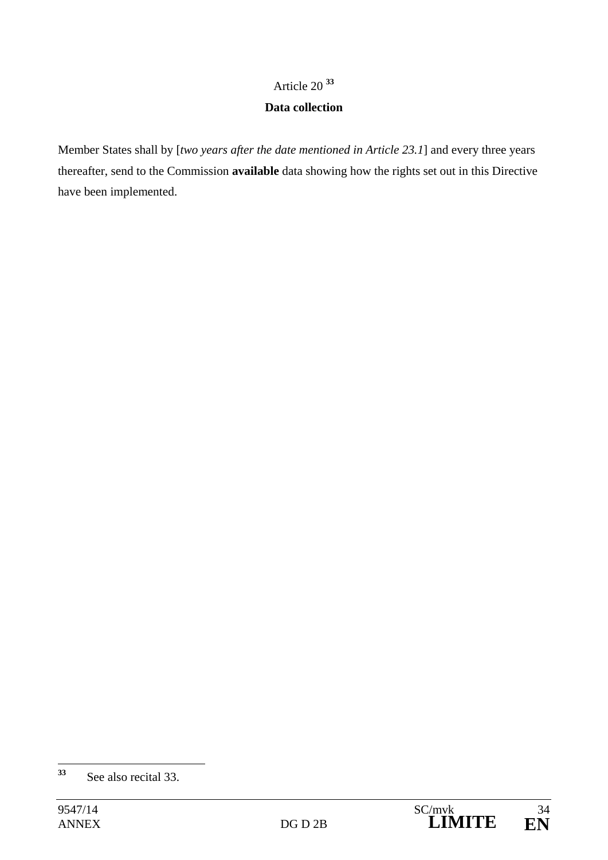## Article 20 **<sup>33</sup>**

### **Data collection**

Member States shall by [*two years after the date mentioned in Article 23.1*] and every three years thereafter, send to the Commission **available** data showing how the rights set out in this Directive have been implemented.

<sup>33</sup> **<sup>33</sup>** See also recital 33.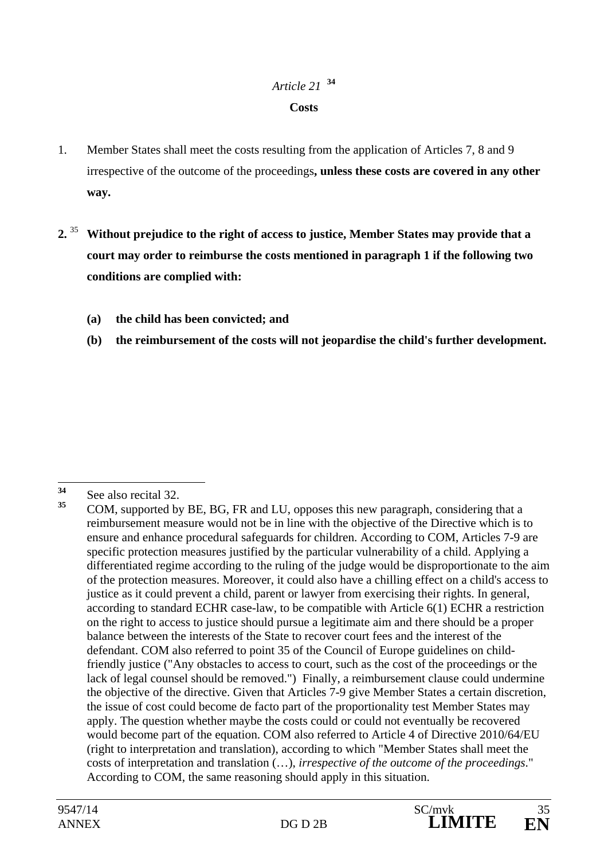## *Article 21* **<sup>34</sup> Costs**

- 1. Member States shall meet the costs resulting from the application of Articles 7, 8 and 9 irrespective of the outcome of the proceedings**, unless these costs are covered in any other way.**
- **2.** <sup>35</sup> **Without prejudice to the right of access to justice, Member States may provide that a court may order to reimburse the costs mentioned in paragraph 1 if the following two conditions are complied with:** 
	- **(a) the child has been convicted; and**
	- **(b) the reimbursement of the costs will not jeopardise the child's further development.**

<sup>34</sup>  $\frac{34}{35}$  See also recital 32.

**<sup>35</sup>** COM, supported by BE, BG, FR and LU, opposes this new paragraph, considering that a reimbursement measure would not be in line with the objective of the Directive which is to ensure and enhance procedural safeguards for children. According to COM, Articles 7-9 are specific protection measures justified by the particular vulnerability of a child. Applying a differentiated regime according to the ruling of the judge would be disproportionate to the aim of the protection measures. Moreover, it could also have a chilling effect on a child's access to justice as it could prevent a child, parent or lawyer from exercising their rights. In general, according to standard ECHR case-law, to be compatible with Article 6(1) ECHR a restriction on the right to access to justice should pursue a legitimate aim and there should be a proper balance between the interests of the State to recover court fees and the interest of the defendant. COM also referred to point 35 of the Council of Europe guidelines on childfriendly justice ("Any obstacles to access to court, such as the cost of the proceedings or the lack of legal counsel should be removed.") Finally, a reimbursement clause could undermine the objective of the directive. Given that Articles 7-9 give Member States a certain discretion, the issue of cost could become de facto part of the proportionality test Member States may apply. The question whether maybe the costs could or could not eventually be recovered would become part of the equation. COM also referred to Article 4 of Directive 2010/64/EU (right to interpretation and translation), according to which "Member States shall meet the costs of interpretation and translation (…), *irrespective of the outcome of the proceedings*." According to COM, the same reasoning should apply in this situation.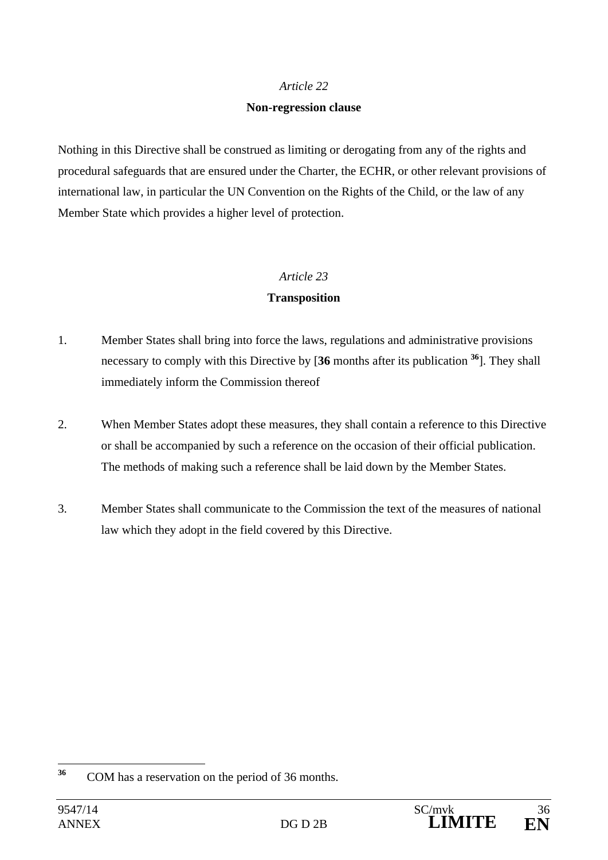### **Non-regression clause**

Nothing in this Directive shall be construed as limiting or derogating from any of the rights and procedural safeguards that are ensured under the Charter, the ECHR, or other relevant provisions of international law, in particular the UN Convention on the Rights of the Child, or the law of any Member State which provides a higher level of protection.

### *Article 23*

### **Transposition**

- 1. Member States shall bring into force the laws, regulations and administrative provisions necessary to comply with this Directive by [**36** months after its publication **<sup>36</sup>**]. They shall immediately inform the Commission thereof
- 2. When Member States adopt these measures, they shall contain a reference to this Directive or shall be accompanied by such a reference on the occasion of their official publication. The methods of making such a reference shall be laid down by the Member States.
- 3. Member States shall communicate to the Commission the text of the measures of national law which they adopt in the field covered by this Directive.

<sup>36</sup> **<sup>36</sup>** COM has a reservation on the period of 36 months.